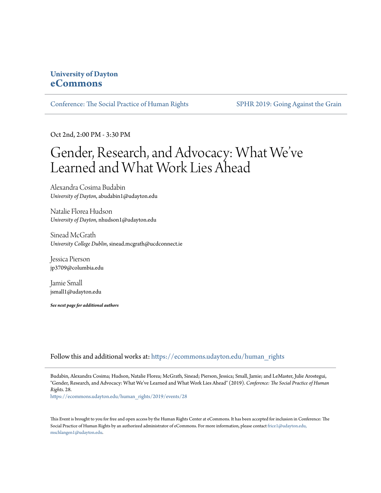### **University of Dayton [eCommons](https://ecommons.udayton.edu/?utm_source=ecommons.udayton.edu%2Fhuman_rights%2F2019%2Fevents%2F28&utm_medium=PDF&utm_campaign=PDFCoverPages)**

[Conference: The Social Practice of Human Rights](https://ecommons.udayton.edu/human_rights?utm_source=ecommons.udayton.edu%2Fhuman_rights%2F2019%2Fevents%2F28&utm_medium=PDF&utm_campaign=PDFCoverPages) [SPHR 2019: Going Against the Grain](https://ecommons.udayton.edu/human_rights/2019?utm_source=ecommons.udayton.edu%2Fhuman_rights%2F2019%2Fevents%2F28&utm_medium=PDF&utm_campaign=PDFCoverPages)

Oct 2nd, 2:00 PM - 3:30 PM

## Gender, Research, and Advocacy: What We ve ' Learned and What Work Lies Ahead

Alexandra Cosima Budabin *University of Dayton*, abudabin1@udayton.edu

Natalie Florea Hudson *University of Dayton*, nhudson1@udayton.edu

Sinead McGrath *University College Dublin*, sinead.mcgrath@ucdconnect.ie

Jessica Pierson jp3709@columbia.edu

Jamie Small jsmall1@udayton.edu

*See next page for additional authors*

Follow this and additional works at: [https://ecommons.udayton.edu/human\\_rights](https://ecommons.udayton.edu/human_rights?utm_source=ecommons.udayton.edu%2Fhuman_rights%2F2019%2Fevents%2F28&utm_medium=PDF&utm_campaign=PDFCoverPages)

Budabin, Alexandra Cosima; Hudson, Natalie Florea; McGrath, Sinead; Pierson, Jessica; Small, Jamie; and LeMaster, Julie Arostegui, "Gender, Research, and Advocacy: What We've Learned and What Work Lies Ahead" (2019). *Conference: The Social Practice of Human Rights*. 28.

[https://ecommons.udayton.edu/human\\_rights/2019/events/28](https://ecommons.udayton.edu/human_rights/2019/events/28?utm_source=ecommons.udayton.edu%2Fhuman_rights%2F2019%2Fevents%2F28&utm_medium=PDF&utm_campaign=PDFCoverPages)

This Event is brought to you for free and open access by the Human Rights Center at eCommons. It has been accepted for inclusion in Conference: The Social Practice of Human Rights by an authorized administrator of eCommons. For more information, please contact [frice1@udayton.edu,](mailto:frice1@udayton.edu,%20mschlangen1@udayton.edu) [mschlangen1@udayton.edu.](mailto:frice1@udayton.edu,%20mschlangen1@udayton.edu)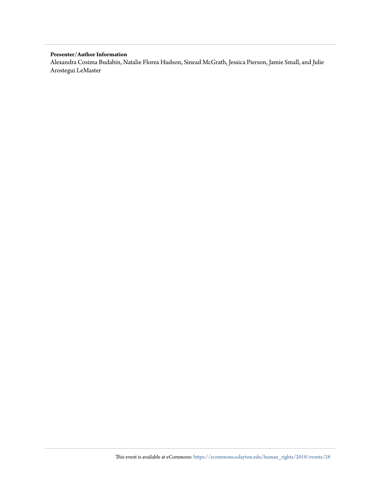#### **Presenter/Author Information**

Alexandra Cosima Budabin, Natalie Florea Hudson, Sinead McGrath, Jessica Pierson, Jamie Small, and Julie Arostegui LeMaster